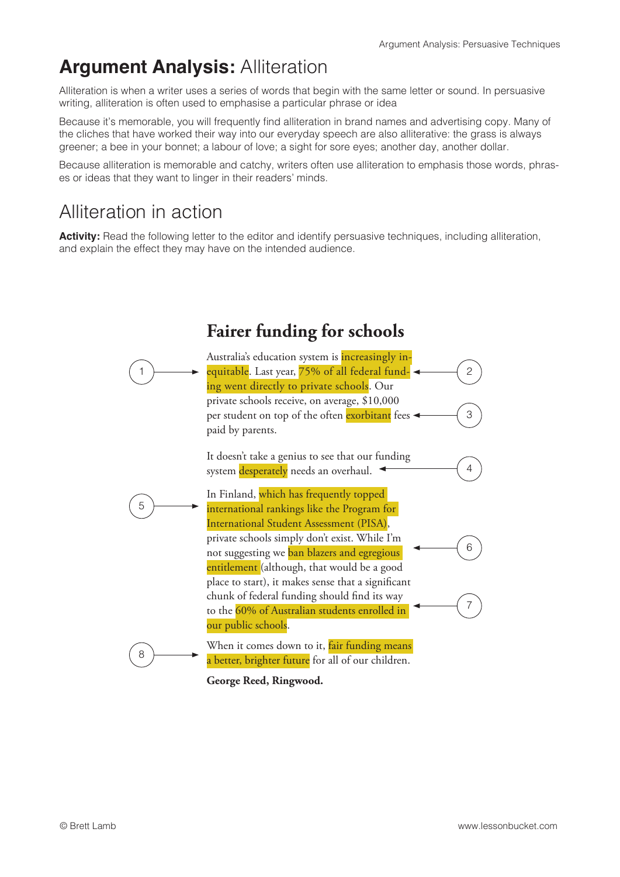## **Argument Analysis:** Alliteration

Alliteration is when a writer uses a series of words that begin with the same letter or sound. In persuasive writing, alliteration is often used to emphasise a particular phrase or idea

Because it's memorable, you will frequently find alliteration in brand names and advertising copy. Many of the cliches that have worked their way into our everyday speech are also alliterative: the grass is always greener; a bee in your bonnet; a labour of love; a sight for sore eyes; another day, another dollar.

Because alliteration is memorable and catchy, writers often use alliteration to emphasis those words, phrases or ideas that they want to linger in their readers' minds.

## Alliteration in action

**Activity:** Read the following letter to the editor and identify persuasive techniques, including alliteration, and explain the effect they may have on the intended audience.



**George Reed, Ringwood.**